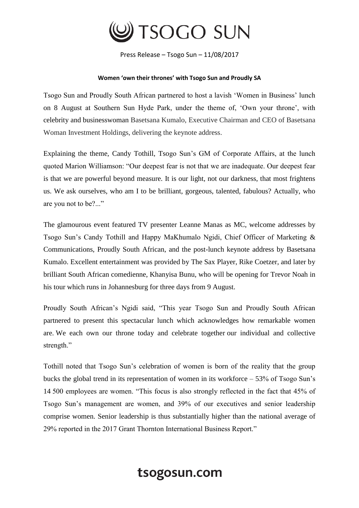

Press Release – Tsogo Sun – 11/08/2017

## **Women 'own their thrones' with Tsogo Sun and Proudly SA**

Tsogo Sun and Proudly South African partnered to host a lavish 'Women in Business' lunch on 8 August at Southern Sun Hyde Park, under the theme of, 'Own your throne', with celebrity and businesswoman Basetsana Kumalo, Executive Chairman and CEO of Basetsana Woman Investment Holdings, delivering the keynote address.

Explaining the theme, Candy Tothill, Tsogo Sun's GM of Corporate Affairs, at the lunch quoted Marion Williamson: "Our deepest fear is not that we are inadequate. Our deepest fear is that we are powerful beyond measure. It is our light, not our darkness, that most frightens us. We ask ourselves, who am I to be brilliant, gorgeous, talented, fabulous? Actually, who are you not to be?..."

The glamourous event featured TV presenter Leanne Manas as MC, welcome addresses by Tsogo Sun's Candy Tothill and Happy MaKhumalo Ngidi, Chief Officer of Marketing & Communications, Proudly South African, and the post-lunch keynote address by Basetsana Kumalo. Excellent entertainment was provided by The Sax Player, Rike Coetzer, and later by brilliant South African comedienne, Khanyisa Bunu, who will be opening for Trevor Noah in his tour which runs in Johannesburg for three days from 9 August.

Proudly South African's Ngidi said, "This year Tsogo Sun and Proudly South African partnered to present this spectacular lunch which acknowledges how remarkable women are. We each own our throne today and celebrate together our individual and collective strength."

Tothill noted that Tsogo Sun's celebration of women is born of the reality that the group bucks the global trend in its representation of women in its workforce – 53% of Tsogo Sun's 14 500 employees are women. "This focus is also strongly reflected in the fact that 45% of Tsogo Sun's management are women, and 39% of our executives and senior leadership comprise women. Senior leadership is thus substantially higher than the national average of 29% reported in the 2017 Grant Thornton International Business Report."

## tsogosun.com